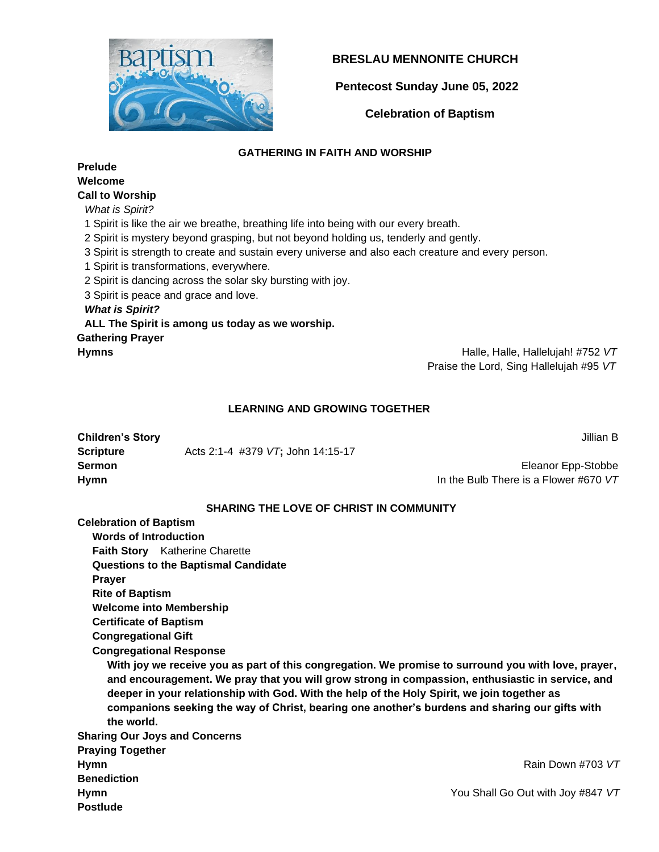

## **BRESLAU MENNONITE CHURCH**

 **Pentecost Sunday June 05, 2022**

 **Celebration of Baptism**

## **GATHERING IN FAITH AND WORSHIP**

**Prelude Welcome** 

# **Call to Worship**

*What is Spirit?*

1 Spirit is like the air we breathe, breathing life into being with our every breath.

2 Spirit is mystery beyond grasping, but not beyond holding us, tenderly and gently.

3 Spirit is strength to create and sustain every universe and also each creature and every person.

1 Spirit is transformations, everywhere.

2 Spirit is dancing across the solar sky bursting with joy.

3 Spirit is peace and grace and love.

#### *What is Spirit?*

**ALL The Spirit is among us today as we worship. Gathering Prayer Hymns** Halle, Halle, Hallelujah! #752 *VT*

Praise the Lord, Sing Hallelujah #95 *VT*

## **LEARNING AND GROWING TOGETHER**

| <b>Children's Story</b> |                                   | Jillian B                             |
|-------------------------|-----------------------------------|---------------------------------------|
| Scripture               | Acts 2:1-4 #379 VT: John 14:15-17 |                                       |
| Sermon                  |                                   | Eleanor Epp-Stobbe                    |
| Hymn                    |                                   | In the Bulb There is a Flower #670 VT |

## **SHARING THE LOVE OF CHRIST IN COMMUNITY**

**Celebration of Baptism**

 **Words of Introduction**

 **Faith Story** Katherine Charette

 **Questions to the Baptismal Candidate**

 **Prayer** 

 **Rite of Baptism**

 **Welcome into Membership**

 **Certificate of Baptism**

 **Congregational Gift**

 **Congregational Response** 

 **With joy we receive you as part of this congregation. We promise to surround you with love, prayer, and encouragement. We pray that you will grow strong in compassion, enthusiastic in service, and deeper in your relationship with God. With the help of the Holy Spirit, we join together as companions seeking the way of Christ, bearing one another's burdens and sharing our gifts with the world.**

**Sharing Our Joys and Concerns Praying Together Hymn Rain Down #703** *VT* **Rain Down #703** *VT* **Benediction Hymn** You Shall Go Out with Joy #847 *VT* **Postlude**